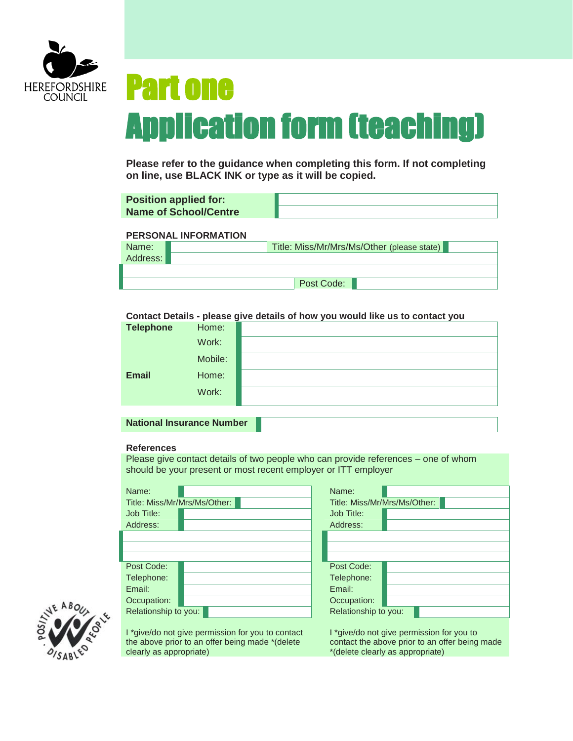

# Part one Application form (teaching)

**Please refer to the guidance when completing this form. If not completing on line, use BLACK INK or type as it will be copied.**

| <b>Position applied for:</b> |                                            |
|------------------------------|--------------------------------------------|
| <b>Name of School/Centre</b> |                                            |
|                              |                                            |
| <b>PERSONAL INFORMATION</b>  |                                            |
| Name:                        | Title: Miss/Mr/Mrs/Ms/Other (please state) |
| Address:                     |                                            |
|                              |                                            |

Post Code:

**Contact Details - please give details of how you would like us to contact you**

| <b>Telephone</b> | Home:   |  |
|------------------|---------|--|
|                  | Work:   |  |
|                  | Mobile: |  |
| <b>Email</b>     | Home:   |  |
|                  | Work:   |  |

**National Insurance Number**

# **References**

Please give contact details of two people who can provide references – one of whom should be your present or most recent employer or ITT employer

| Name:                   |                                                   | Name:                        |                                                |
|-------------------------|---------------------------------------------------|------------------------------|------------------------------------------------|
|                         | Title: Miss/Mr/Mrs/Ms/Other:                      | Title: Miss/Mr/Mrs/Ms/Other: |                                                |
| Job Title:              |                                                   | Job Title:                   |                                                |
| Address:                |                                                   | Address:                     |                                                |
|                         |                                                   |                              |                                                |
|                         |                                                   |                              |                                                |
|                         |                                                   |                              |                                                |
| Post Code:              |                                                   | Post Code:                   |                                                |
| Telephone:              |                                                   | Telephone:                   |                                                |
| Email:                  |                                                   | Email:                       |                                                |
| Occupation:             |                                                   | Occupation:                  |                                                |
| Relationship to you:    |                                                   | Relationship to you:         |                                                |
|                         |                                                   |                              |                                                |
|                         | I *give/do not give permission for you to contact |                              | I *give/do not give permission for you to      |
|                         | the above prior to an offer being made *(delete   |                              | contact the above prior to an offer being made |
| clearly as appropriate) |                                                   |                              | *(delete clearly as appropriate)               |

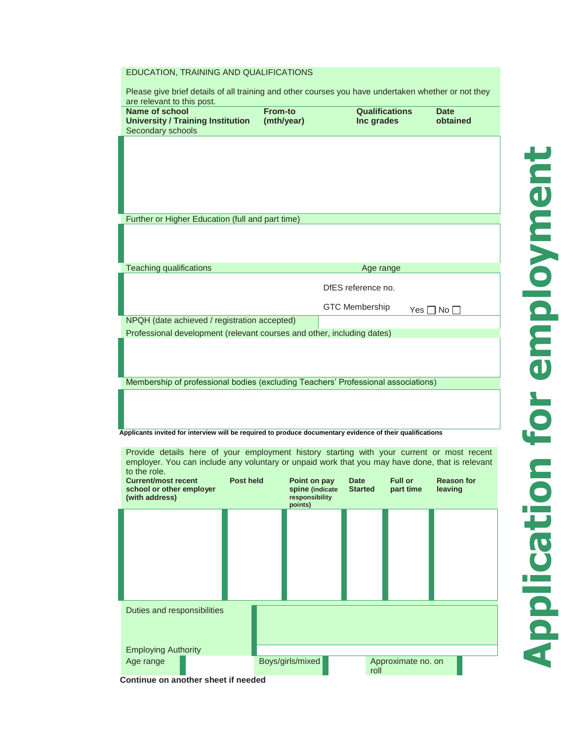# EDUCATION, TRAINING AND QUALIFICATIONS

| Please give brief details of all training and other courses you have undertaken whether or not they<br>are relevant to this post.                                                            |                                   |                                     |                         |
|----------------------------------------------------------------------------------------------------------------------------------------------------------------------------------------------|-----------------------------------|-------------------------------------|-------------------------|
| <b>Name of school</b><br><b>University / Training Institution</b>                                                                                                                            | <b>From-to</b><br>(mth/year)      | <b>Qualifications</b><br>Inc grades | <b>Date</b><br>obtained |
| Secondary schools                                                                                                                                                                            |                                   |                                     |                         |
|                                                                                                                                                                                              |                                   |                                     |                         |
|                                                                                                                                                                                              |                                   |                                     |                         |
|                                                                                                                                                                                              |                                   |                                     |                         |
|                                                                                                                                                                                              |                                   |                                     |                         |
| Further or Higher Education (full and part time)                                                                                                                                             |                                   |                                     |                         |
|                                                                                                                                                                                              |                                   |                                     |                         |
|                                                                                                                                                                                              |                                   |                                     |                         |
| <b>Teaching qualifications</b>                                                                                                                                                               |                                   | Age range                           |                         |
|                                                                                                                                                                                              |                                   | DfES reference no.                  |                         |
|                                                                                                                                                                                              |                                   | <b>GTC Membership</b><br>Yes I      | ∐ No [                  |
| NPQH (date achieved / registration accepted)                                                                                                                                                 |                                   |                                     |                         |
| Professional development (relevant courses and other, including dates)                                                                                                                       |                                   |                                     |                         |
|                                                                                                                                                                                              |                                   |                                     |                         |
|                                                                                                                                                                                              |                                   |                                     |                         |
| Membership of professional bodies (excluding Teachers' Professional associations)                                                                                                            |                                   |                                     |                         |
|                                                                                                                                                                                              |                                   |                                     |                         |
|                                                                                                                                                                                              |                                   |                                     |                         |
| Applicants invited for interview will be required to produce documentary evidence of their qualifications                                                                                    |                                   |                                     |                         |
| Provide details here of your employment history starting with your current or most recent<br>employer. You can include any voluntary or unpaid work that you may have done, that is relevant |                                   |                                     |                         |
| to the role.<br><b>Post held</b><br><b>Current/most recent</b>                                                                                                                               | Point on pay                      | <b>Full or</b><br><b>Date</b>       | <b>Reason for</b>       |
| school or other employer<br>(with address)                                                                                                                                                   | spine (indicate<br>responsibility | <b>Started</b><br>part time         | leaving                 |
|                                                                                                                                                                                              | points)                           |                                     |                         |
|                                                                                                                                                                                              |                                   |                                     |                         |
|                                                                                                                                                                                              |                                   |                                     |                         |
|                                                                                                                                                                                              |                                   |                                     |                         |
|                                                                                                                                                                                              |                                   |                                     |                         |
|                                                                                                                                                                                              |                                   |                                     |                         |
| Duties and responsibilities                                                                                                                                                                  |                                   |                                     |                         |
|                                                                                                                                                                                              |                                   |                                     |                         |
|                                                                                                                                                                                              |                                   |                                     |                         |
| <b>Employing Authority</b>                                                                                                                                                                   |                                   |                                     |                         |

**Continue on another sheet if needed**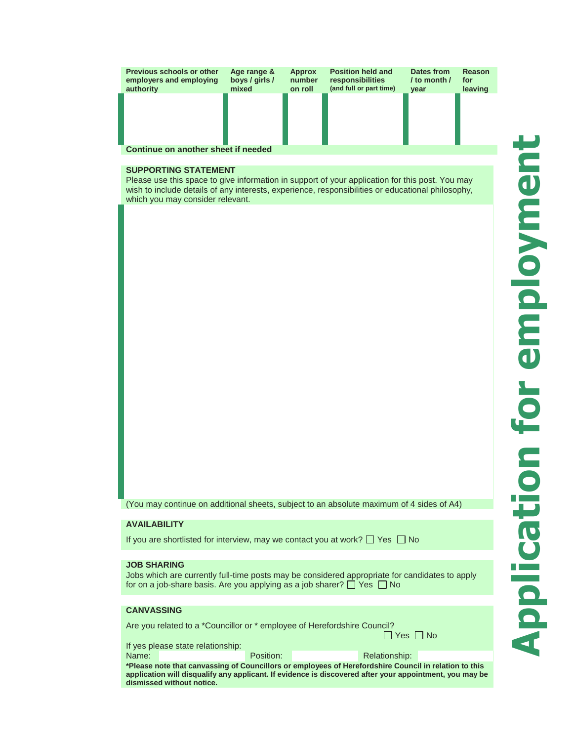| <b>Previous schools or other</b><br>employers and employing<br>authority | Age range &<br>boys / girls /<br>mixed | <b>Approx</b><br>number<br>on roll | <b>Position held and</b><br>responsibilities<br>(and full or part time) | Dates from<br>/ to month $\prime$<br>vear | Reason<br>for<br>leaving |  |
|--------------------------------------------------------------------------|----------------------------------------|------------------------------------|-------------------------------------------------------------------------|-------------------------------------------|--------------------------|--|
|                                                                          |                                        |                                    |                                                                         |                                           |                          |  |
|                                                                          |                                        |                                    |                                                                         |                                           |                          |  |
| Continue on another sheet if needed                                      |                                        |                                    |                                                                         |                                           |                          |  |

## **SUPPORTING STATEMENT**

Please use this space to give information in support of your application for this post. You may wish to include details of any interests, experience, responsibilities or educational philosophy, which you may consider relevant.

(You may continue on additional sheets, subject to an absolute maximum of 4 sides of A4)

### **AVAILABILITY**

If you are shortlisted for interview, may we contact you at work?  $\Box$  Yes  $\Box$  No

#### **JOB SHARING**

Jobs which are currently full-time posts may be considered appropriate for candidates to apply for on a job-share basis. Are you applying as a job sharer?  $\Box$  Yes  $\Box$  No

## **CANVASSING**

Are you related to a \*Councillor or \* employee of Herefordshire Council?

If yes please state relationship: Name: Relation: Relationships: Relationships: Relationships: Relationships: Relationships: Relationships: Relationships: Relationships: Relationships: Relationships: Relationships: Relationships: Relationships: Relationshi

| <b>Relationship:</b> |
|----------------------|
|                      |

**\*Please note that canvassing of Councillors or employees of Herefordshire Council in relation to this application will disqualify any applicant. If evidence is discovered after your appointment, you may be dismissed without notice.**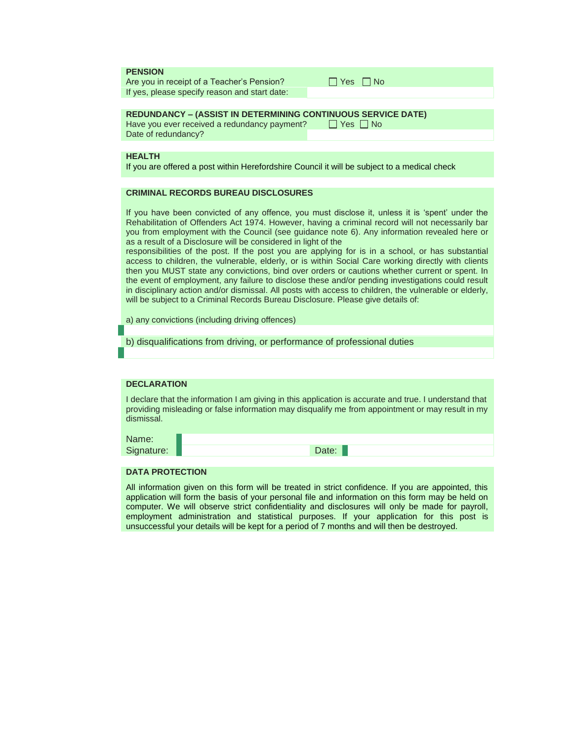|  |  |  | <b>PENSION</b> |  |
|--|--|--|----------------|--|
|--|--|--|----------------|--|

Are you in receipt of a Teacher's Pension? If yes, please specify reason and start date:

### **REDUNDANCY – (ASSIST IN DETERMINING CONTINUOUS SERVICE DATE)**

Have you ever received a redundancy payment?  $\Box$  Yes  $\Box$  No Date of redundancy?

## **HEALTH**

If you are offered a post within Herefordshire Council it will be subject to a medical check

#### **CRIMINAL RECORDS BUREAU DISCLOSURES**

If you have been convicted of any offence, you must disclose it, unless it is 'spent' under the Rehabilitation of Offenders Act 1974. However, having a criminal record will not necessarily bar you from employment with the Council (see guidance note 6). Any information revealed here or as a result of a Disclosure will be considered in light of the

responsibilities of the post. If the post you are applying for is in a school, or has substantial access to children, the vulnerable, elderly, or is within Social Care working directly with clients then you MUST state any convictions, bind over orders or cautions whether current or spent. In the event of employment, any failure to disclose these and/or pending investigations could result in disciplinary action and/or dismissal. All posts with access to children, the vulnerable or elderly, will be subject to a Criminal Records Bureau Disclosure. Please give details of:

a) any convictions (including driving offences)

b) disqualifications from driving, or performance of professional duties

## **DECLARATION**

I declare that the information I am giving in this application is accurate and true. I understand that providing misleading or false information may disqualify me from appointment or may result in my dismissal.

Name: Signature: New York 1999 Signature: New York 1999 Signature: New York 1999 Signature: New York 1999 Signature:

#### **DATA PROTECTION**

All information given on this form will be treated in strict confidence. If you are appointed, this application will form the basis of your personal file and information on this form may be held on computer. We will observe strict confidentiality and disclosures will only be made for payroll, employment administration and statistical purposes. If your application for this post is unsuccessful your details will be kept for a period of 7 months and will then be destroyed.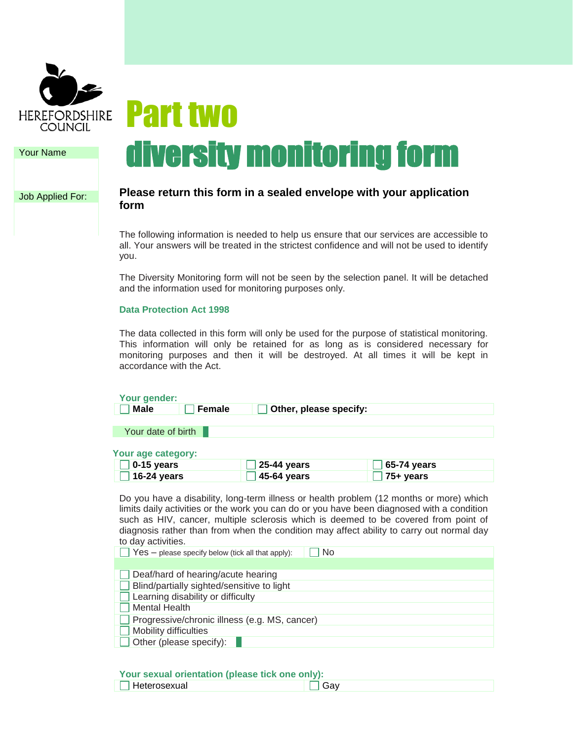

Your Name

Job Applied For:

# Part two diversity monitoring form

# **Please return this form in a sealed envelope with your application form**

The following information is needed to help us ensure that our services are accessible to all. Your answers will be treated in the strictest confidence and will not be used to identify you.

The Diversity Monitoring form will not be seen by the selection panel. It will be detached and the information used for monitoring purposes only.

# **Data Protection Act 1998**

The data collected in this form will only be used for the purpose of statistical monitoring. This information will only be retained for as long as is considered necessary for monitoring purposes and then it will be destroyed. At all times it will be kept in accordance with the Act.

| Your gender:                 |                        |                                                                                        |
|------------------------------|------------------------|----------------------------------------------------------------------------------------|
| <b>Male</b><br><b>Female</b> | Other, please specify: |                                                                                        |
|                              |                        |                                                                                        |
| Your date of birth           |                        |                                                                                        |
|                              |                        |                                                                                        |
| Your age category:           |                        |                                                                                        |
| 0-15 years                   | 25-44 years            | 65-74 years                                                                            |
| 16-24 years                  | 45-64 years            | 75+ years                                                                              |
|                              |                        | Do vou have a disability Jong-term illness or health problem (12 months or more) which |

Do you have a disability, long-term illness or health problem (12 months or more) which limits daily activities or the work you can do or you have been diagnosed with a condition such as HIV, cancer, multiple sclerosis which is deemed to be covered from point of diagnosis rather than from when the condition may affect ability to carry out normal day to day activities.

| $\Box$ Yes – please specify below (tick all that apply):<br><b>No</b> |
|-----------------------------------------------------------------------|
|                                                                       |
| Deaf/hard of hearing/acute hearing                                    |
| Blind/partially sighted/sensitive to light                            |
| $\Box$ Learning disability or difficulty                              |
| <b>Mental Health</b>                                                  |
| Progressive/chronic illness (e.g. MS, cancer)                         |
| Mobility difficulties                                                 |
| $\Box$ Other (please specify):                                        |

# **Your sexual orientation (please tick one only):**

| <b>Pour conduit of formation</b> (product tron only print). |  |
|-------------------------------------------------------------|--|
| leterosexual                                                |  |